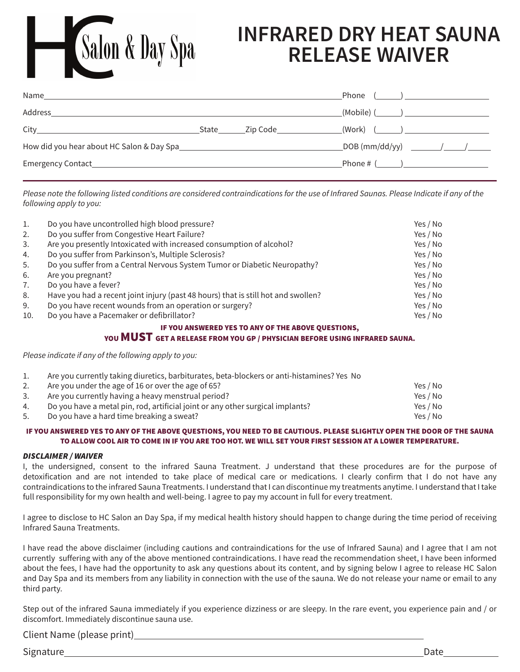# **INFRARED DRY HEAT SAUNA RELEASE WAIVER**

| Name    |  | Phone $(\_\_\_\_\_\_\_\_\$                    |
|---------|--|-----------------------------------------------|
| Address |  | _(Mobile) (_______) ______________________    |
|         |  | _(Work) (_______) ___________________________ |
|         |  |                                               |
|         |  |                                               |

*Please note the following listed conditions are considered contraindications for the use of Infrared Saunas. Please Indicate if any of the following apply to you:*

| 1.  | Do you have uncontrolled high blood pressure?                                     | Yes / No |
|-----|-----------------------------------------------------------------------------------|----------|
| 2.  | Do you suffer from Congestive Heart Failure?                                      | Yes / No |
| 3.  | Are you presently Intoxicated with increased consumption of alcohol?              | Yes / No |
| 4.  | Do you suffer from Parkinson's, Multiple Sclerosis?                               | Yes / No |
| 5.  | Do you suffer from a Central Nervous System Tumor or Diabetic Neuropathy?         | Yes / No |
| 6.  | Are you pregnant?                                                                 | Yes / No |
| 7.  | Do you have a fever?                                                              | Yes / No |
| 8.  | Have you had a recent joint injury (past 48 hours) that is still hot and swollen? | Yes / No |
| 9.  | Do you have recent wounds from an operation or surgery?                           | Yes / No |
| 10. | Do you have a Pacemaker or defibrillator?                                         | Yes / No |

#### IF YOU ANSWERED YES TO ANY OF THE ABOVE QUESTIONS,

### YOU MUST GET A RELEASE FROM YOU GP / PHYSICIAN BEFORE USING INFRARED SAUNA.

*Please indicate if any of the following apply to you:*

Salon & Day Spa

|     | Are you currently taking diuretics, barbiturates, beta-blockers or anti-histamines? Yes No |          |
|-----|--------------------------------------------------------------------------------------------|----------|
|     | Are you under the age of 16 or over the age of 65?                                         | Yes / No |
| 3.  | Are you currently having a heavy menstrual period?                                         | Yes / No |
| 4.  | Do you have a metal pin, rod, artificial joint or any other surgical implants?             | Yes / No |
| -5. | Do you have a hard time breaking a sweat?                                                  | Yes / No |

#### IF YOU ANSWERED YES TO ANY OF THE ABOVE QUESTIONS, YOU NEED TO BE CAUTIOUS. PLEASE SLIGHTLY OPEN THE DOOR OF THE SAUNA TO ALLOW COOL AIR TO COME IN IF YOU ARE TOO HOT. WE WILL SET YOUR FIRST SESSION AT A LOWER TEMPERATURE.

#### *DISCLAIMER / WAIVER*

I, the undersigned, consent to the infrared Sauna Treatment. J understand that these procedures are for the purpose of detoxification and are not intended to take place of medical care or medications. I clearly confirm that I do not have any contraindications to the infrared Sauna Treatments. I understand that I can discontinue my treatments anytime. I understand that I take full responsibility for my own health and well-being. I agree to pay my account in full for every treatment.

I agree to disclose to HC Salon an Day Spa, if my medical health history should happen to change during the time period of receiving Infrared Sauna Treatments.

I have read the above disclaimer (including cautions and contraindications for the use of Infrared Sauna) and I agree that I am not currently suffering with any of the above mentioned contraindications. I have read the recommendation sheet, I have been informed about the fees, I have had the opportunity to ask any questions about its content, and by signing below I agree to release HC Salon and Day Spa and its members from any liability in connection with the use of the sauna. We do not release your name or email to any third party.

Step out of the infrared Sauna immediately if you experience dizziness or are sleepy. In the rare event, you experience pain and / or discomfort. Immediately discontinue sauna use.

Client Name (please print)

Signature Date